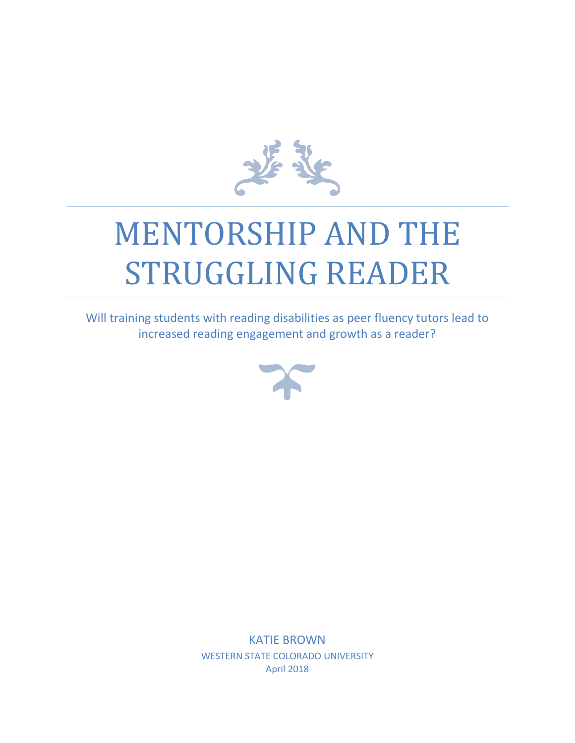

# MENTORSHIP AND THE STRUGGLING READER

Will training students with reading disabilities as peer fluency tutors lead to increased reading engagement and growth as a reader?



KATIE BROWN WESTERN STATE COLORADO UNIVERSITY April 2018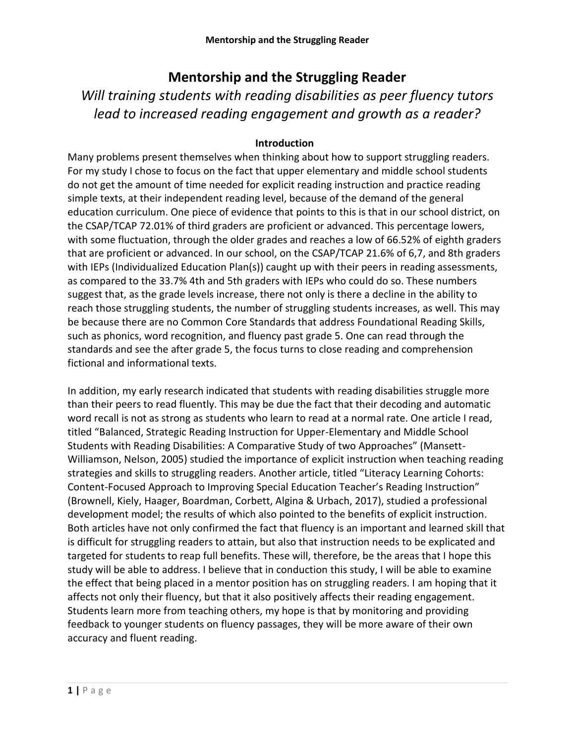# **Mentorship and the Struggling Reader**

*Will training students with reading disabilities as peer fluency tutors lead to increased reading engagement and growth as a reader?*

# **Introduction**

Many problems present themselves when thinking about how to support struggling readers. For my study I chose to focus on the fact that upper elementary and middle school students do not get the amount of time needed for explicit reading instruction and practice reading simple texts, at their independent reading level, because of the demand of the general education curriculum. One piece of evidence that points to this is that in our school district, on the CSAP/TCAP 72.01% of third graders are proficient or advanced. This percentage lowers, with some fluctuation, through the older grades and reaches a low of 66.52% of eighth graders that are proficient or advanced. In our school, on the CSAP/TCAP 21.6% of 6,7, and 8th graders with IEPs (Individualized Education Plan(s)) caught up with their peers in reading assessments, as compared to the 33.7% 4th and 5th graders with IEPs who could do so. These numbers suggest that, as the grade levels increase, there not only is there a decline in the ability to reach those struggling students, the number of struggling students increases, as well. This may be because there are no Common Core Standards that address Foundational Reading Skills, such as phonics, word recognition, and fluency past grade 5. One can read through the standards and see the after grade 5, the focus turns to close reading and comprehension fictional and informational texts.

In addition, my early research indicated that students with reading disabilities struggle more than their peers to read fluently. This may be due the fact that their decoding and automatic word recall is not as strong as students who learn to read at a normal rate. One article I read, titled "Balanced, Strategic Reading Instruction for Upper-Elementary and Middle School Students with Reading Disabilities: A Comparative Study of two Approaches" (Mansett-Williamson, Nelson, 2005) studied the importance of explicit instruction when teaching reading strategies and skills to struggling readers. Another article, titled "Literacy Learning Cohorts: Content-Focused Approach to Improving Special Education Teacher's Reading Instruction" (Brownell, Kiely, Haager, Boardman, Corbett, Algina & Urbach, 2017), studied a professional development model; the results of which also pointed to the benefits of explicit instruction. Both articles have not only confirmed the fact that fluency is an important and learned skill that is difficult for struggling readers to attain, but also that instruction needs to be explicated and targeted for students to reap full benefits. These will, therefore, be the areas that I hope this study will be able to address. I believe that in conduction this study, I will be able to examine the effect that being placed in a mentor position has on struggling readers. I am hoping that it affects not only their fluency, but that it also positively affects their reading engagement. Students learn more from teaching others, my hope is that by monitoring and providing feedback to younger students on fluency passages, they will be more aware of their own accuracy and fluent reading.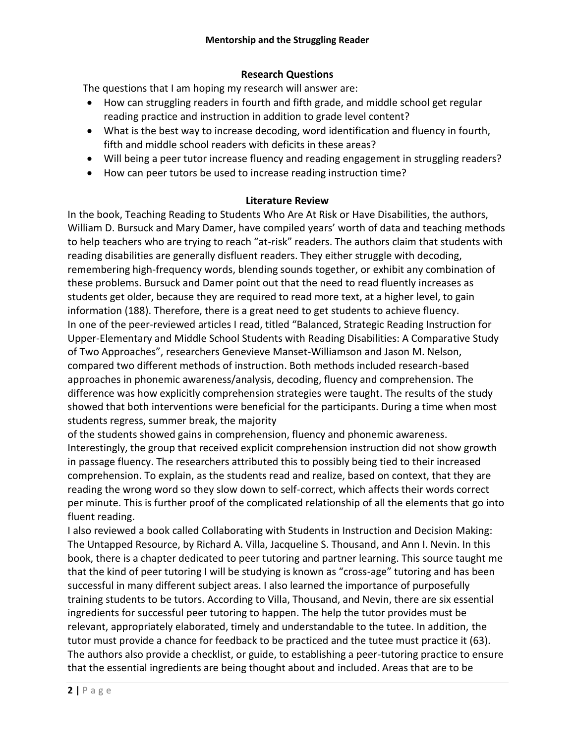# **Research Questions**

The questions that I am hoping my research will answer are:

- How can struggling readers in fourth and fifth grade, and middle school get regular reading practice and instruction in addition to grade level content?
- What is the best way to increase decoding, word identification and fluency in fourth, fifth and middle school readers with deficits in these areas?
- Will being a peer tutor increase fluency and reading engagement in struggling readers?
- How can peer tutors be used to increase reading instruction time?

# **Literature Review**

In the book, Teaching Reading to Students Who Are At Risk or Have Disabilities, the authors, William D. Bursuck and Mary Damer, have compiled years' worth of data and teaching methods to help teachers who are trying to reach "at-risk" readers. The authors claim that students with reading disabilities are generally disfluent readers. They either struggle with decoding, remembering high-frequency words, blending sounds together, or exhibit any combination of these problems. Bursuck and Damer point out that the need to read fluently increases as students get older, because they are required to read more text, at a higher level, to gain information (188). Therefore, there is a great need to get students to achieve fluency. In one of the peer-reviewed articles I read, titled "Balanced, Strategic Reading Instruction for Upper-Elementary and Middle School Students with Reading Disabilities: A Comparative Study of Two Approaches", researchers Genevieve Manset-Williamson and Jason M. Nelson, compared two different methods of instruction. Both methods included research-based approaches in phonemic awareness/analysis, decoding, fluency and comprehension. The difference was how explicitly comprehension strategies were taught. The results of the study showed that both interventions were beneficial for the participants. During a time when most students regress, summer break, the majority

of the students showed gains in comprehension, fluency and phonemic awareness. Interestingly, the group that received explicit comprehension instruction did not show growth in passage fluency. The researchers attributed this to possibly being tied to their increased comprehension. To explain, as the students read and realize, based on context, that they are reading the wrong word so they slow down to self-correct, which affects their words correct per minute. This is further proof of the complicated relationship of all the elements that go into fluent reading.

I also reviewed a book called Collaborating with Students in Instruction and Decision Making: The Untapped Resource, by Richard A. Villa, Jacqueline S. Thousand, and Ann I. Nevin. In this book, there is a chapter dedicated to peer tutoring and partner learning. This source taught me that the kind of peer tutoring I will be studying is known as "cross-age" tutoring and has been successful in many different subject areas. I also learned the importance of purposefully training students to be tutors. According to Villa, Thousand, and Nevin, there are six essential ingredients for successful peer tutoring to happen. The help the tutor provides must be relevant, appropriately elaborated, timely and understandable to the tutee. In addition, the tutor must provide a chance for feedback to be practiced and the tutee must practice it (63). The authors also provide a checklist, or guide, to establishing a peer-tutoring practice to ensure that the essential ingredients are being thought about and included. Areas that are to be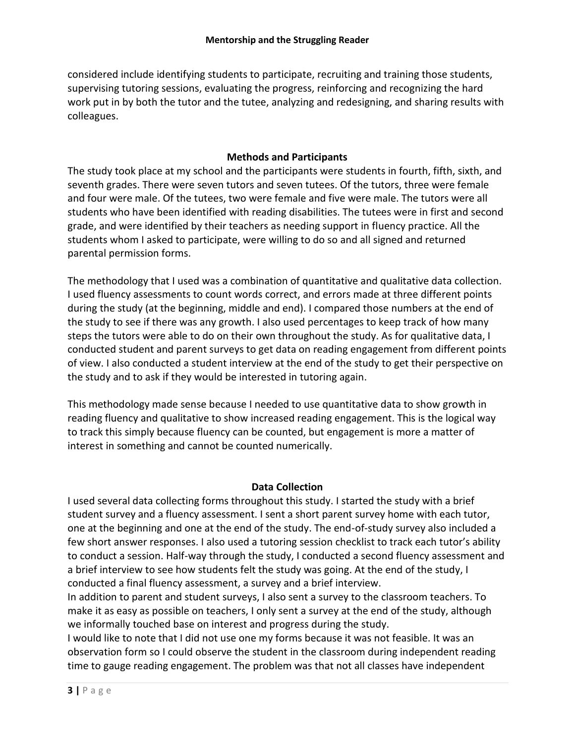considered include identifying students to participate, recruiting and training those students, supervising tutoring sessions, evaluating the progress, reinforcing and recognizing the hard work put in by both the tutor and the tutee, analyzing and redesigning, and sharing results with colleagues.

# **Methods and Participants**

The study took place at my school and the participants were students in fourth, fifth, sixth, and seventh grades. There were seven tutors and seven tutees. Of the tutors, three were female and four were male. Of the tutees, two were female and five were male. The tutors were all students who have been identified with reading disabilities. The tutees were in first and second grade, and were identified by their teachers as needing support in fluency practice. All the students whom I asked to participate, were willing to do so and all signed and returned parental permission forms.

The methodology that I used was a combination of quantitative and qualitative data collection. I used fluency assessments to count words correct, and errors made at three different points during the study (at the beginning, middle and end). I compared those numbers at the end of the study to see if there was any growth. I also used percentages to keep track of how many steps the tutors were able to do on their own throughout the study. As for qualitative data, I conducted student and parent surveys to get data on reading engagement from different points of view. I also conducted a student interview at the end of the study to get their perspective on the study and to ask if they would be interested in tutoring again.

This methodology made sense because I needed to use quantitative data to show growth in reading fluency and qualitative to show increased reading engagement. This is the logical way to track this simply because fluency can be counted, but engagement is more a matter of interest in something and cannot be counted numerically.

# **Data Collection**

I used several data collecting forms throughout this study. I started the study with a brief student survey and a fluency assessment. I sent a short parent survey home with each tutor, one at the beginning and one at the end of the study. The end-of-study survey also included a few short answer responses. I also used a tutoring session checklist to track each tutor's ability to conduct a session. Half-way through the study, I conducted a second fluency assessment and a brief interview to see how students felt the study was going. At the end of the study, I conducted a final fluency assessment, a survey and a brief interview.

In addition to parent and student surveys, I also sent a survey to the classroom teachers. To make it as easy as possible on teachers, I only sent a survey at the end of the study, although we informally touched base on interest and progress during the study.

I would like to note that I did not use one my forms because it was not feasible. It was an observation form so I could observe the student in the classroom during independent reading time to gauge reading engagement. The problem was that not all classes have independent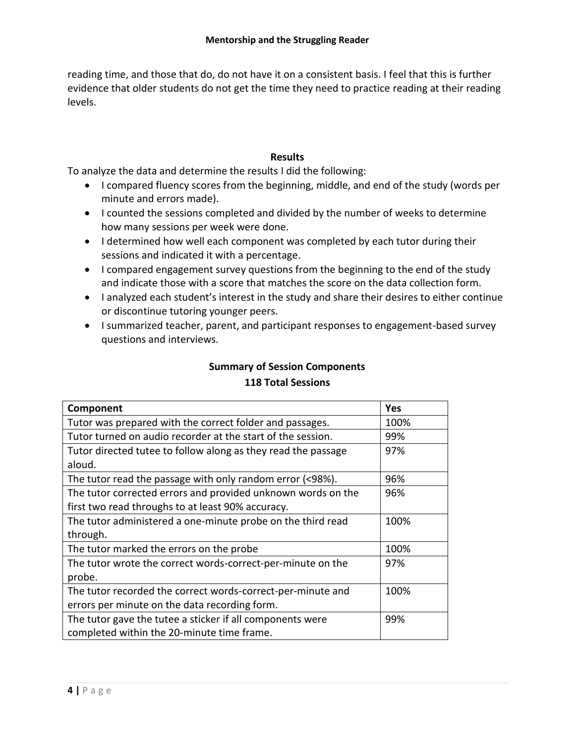reading time, and those that do, do not have it on a consistent basis. I feel that this is further evidence that older students do not get the time they need to practice reading at their reading levels.

# **Results**

To analyze the data and determine the results I did the following:

- I compared fluency scores from the beginning, middle, and end of the study (words per minute and errors made).
- I counted the sessions completed and divided by the number of weeks to determine how many sessions per week were done.
- I determined how well each component was completed by each tutor during their sessions and indicated it with a percentage.
- I compared engagement survey questions from the beginning to the end of the study and indicate those with a score that matches the score on the data collection form.
- I analyzed each student's interest in the study and share their desires to either continue or discontinue tutoring younger peers.
- I summarized teacher, parent, and participant responses to engagement-based survey questions and interviews.

# **Summary of Session Components 118 Total Sessions**

| Component                                                     | Yes  |
|---------------------------------------------------------------|------|
| Tutor was prepared with the correct folder and passages.      | 100% |
| Tutor turned on audio recorder at the start of the session.   | 99%  |
| Tutor directed tutee to follow along as they read the passage | 97%  |
| aloud.                                                        |      |
| The tutor read the passage with only random error (<98%).     | 96%  |
| The tutor corrected errors and provided unknown words on the  | 96%  |
| first two read throughs to at least 90% accuracy.             |      |
| The tutor administered a one-minute probe on the third read   | 100% |
| through.                                                      |      |
| The tutor marked the errors on the probe                      | 100% |
| The tutor wrote the correct words-correct-per-minute on the   | 97%  |
| probe.                                                        |      |
| The tutor recorded the correct words-correct-per-minute and   | 100% |
| errors per minute on the data recording form.                 |      |
| The tutor gave the tutee a sticker if all components were     | 99%  |
| completed within the 20-minute time frame.                    |      |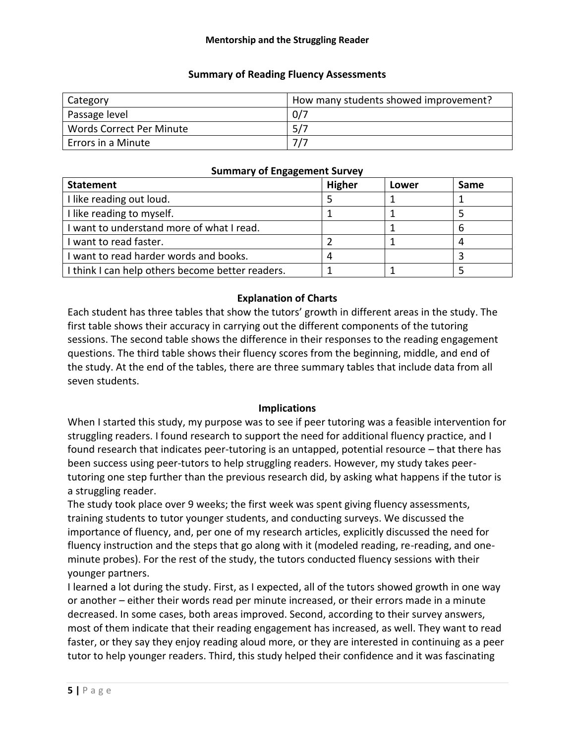# **Summary of Reading Fluency Assessments**

| Category                        | How many students showed improvement? |  |
|---------------------------------|---------------------------------------|--|
| Passage level                   | 0/7                                   |  |
| <b>Words Correct Per Minute</b> | 5/7                                   |  |
| Errors in a Minute              | 717                                   |  |

#### **Summary of Engagement Survey**

| <b>Statement</b>                                 | <b>Higher</b> | Lower | Same |
|--------------------------------------------------|---------------|-------|------|
| I like reading out loud.                         |               |       |      |
| I like reading to myself.                        |               |       |      |
| I want to understand more of what I read.        |               |       | 6    |
| I want to read faster.                           |               |       |      |
| I want to read harder words and books.           |               |       |      |
| I think I can help others become better readers. |               |       |      |

# **Explanation of Charts**

Each student has three tables that show the tutors' growth in different areas in the study. The first table shows their accuracy in carrying out the different components of the tutoring sessions. The second table shows the difference in their responses to the reading engagement questions. The third table shows their fluency scores from the beginning, middle, and end of the study. At the end of the tables, there are three summary tables that include data from all seven students.

#### **Implications**

When I started this study, my purpose was to see if peer tutoring was a feasible intervention for struggling readers. I found research to support the need for additional fluency practice, and I found research that indicates peer-tutoring is an untapped, potential resource – that there has been success using peer-tutors to help struggling readers. However, my study takes peertutoring one step further than the previous research did, by asking what happens if the tutor is a struggling reader.

The study took place over 9 weeks; the first week was spent giving fluency assessments, training students to tutor younger students, and conducting surveys. We discussed the importance of fluency, and, per one of my research articles, explicitly discussed the need for fluency instruction and the steps that go along with it (modeled reading, re-reading, and oneminute probes). For the rest of the study, the tutors conducted fluency sessions with their younger partners.

I learned a lot during the study. First, as I expected, all of the tutors showed growth in one way or another – either their words read per minute increased, or their errors made in a minute decreased. In some cases, both areas improved. Second, according to their survey answers, most of them indicate that their reading engagement has increased, as well. They want to read faster, or they say they enjoy reading aloud more, or they are interested in continuing as a peer tutor to help younger readers. Third, this study helped their confidence and it was fascinating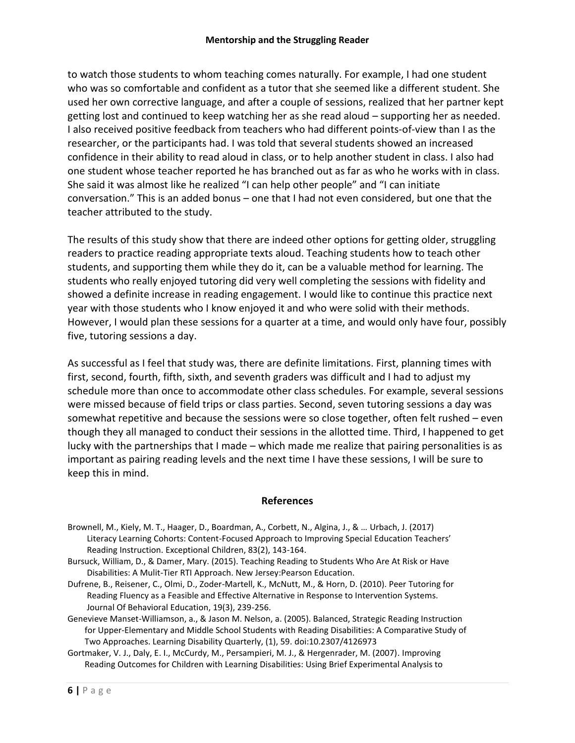to watch those students to whom teaching comes naturally. For example, I had one student who was so comfortable and confident as a tutor that she seemed like a different student. She used her own corrective language, and after a couple of sessions, realized that her partner kept getting lost and continued to keep watching her as she read aloud – supporting her as needed. I also received positive feedback from teachers who had different points-of-view than I as the researcher, or the participants had. I was told that several students showed an increased confidence in their ability to read aloud in class, or to help another student in class. I also had one student whose teacher reported he has branched out as far as who he works with in class. She said it was almost like he realized "I can help other people" and "I can initiate conversation." This is an added bonus – one that I had not even considered, but one that the teacher attributed to the study.

The results of this study show that there are indeed other options for getting older, struggling readers to practice reading appropriate texts aloud. Teaching students how to teach other students, and supporting them while they do it, can be a valuable method for learning. The students who really enjoyed tutoring did very well completing the sessions with fidelity and showed a definite increase in reading engagement. I would like to continue this practice next year with those students who I know enjoyed it and who were solid with their methods. However, I would plan these sessions for a quarter at a time, and would only have four, possibly five, tutoring sessions a day.

As successful as I feel that study was, there are definite limitations. First, planning times with first, second, fourth, fifth, sixth, and seventh graders was difficult and I had to adjust my schedule more than once to accommodate other class schedules. For example, several sessions were missed because of field trips or class parties. Second, seven tutoring sessions a day was somewhat repetitive and because the sessions were so close together, often felt rushed – even though they all managed to conduct their sessions in the allotted time. Third, I happened to get lucky with the partnerships that I made – which made me realize that pairing personalities is as important as pairing reading levels and the next time I have these sessions, I will be sure to keep this in mind.

#### **References**

- Brownell, M., Kiely, M. T., Haager, D., Boardman, A., Corbett, N., Algina, J., & … Urbach, J. (2017) Literacy Learning Cohorts: Content-Focused Approach to Improving Special Education Teachers' Reading Instruction. Exceptional Children, 83(2), 143-164.
- Bursuck, William, D., & Damer, Mary. (2015). Teaching Reading to Students Who Are At Risk or Have Disabilities: A Mulit-Tier RTI Approach. New Jersey:Pearson Education.
- Dufrene, B., Reisener, C., Olmi, D., Zoder-Martell, K., McNutt, M., & Horn, D. (2010). Peer Tutoring for Reading Fluency as a Feasible and Effective Alternative in Response to Intervention Systems. Journal Of Behavioral Education, 19(3), 239-256.
- Genevieve Manset-Williamson, a., & Jason M. Nelson, a. (2005). Balanced, Strategic Reading Instruction for Upper-Elementary and Middle School Students with Reading Disabilities: A Comparative Study of Two Approaches. Learning Disability Quarterly, (1), 59. doi:10.2307/4126973
- Gortmaker, V. J., Daly, E. I., McCurdy, M., Persampieri, M. J., & Hergenrader, M. (2007). Improving Reading Outcomes for Children with Learning Disabilities: Using Brief Experimental Analysis to